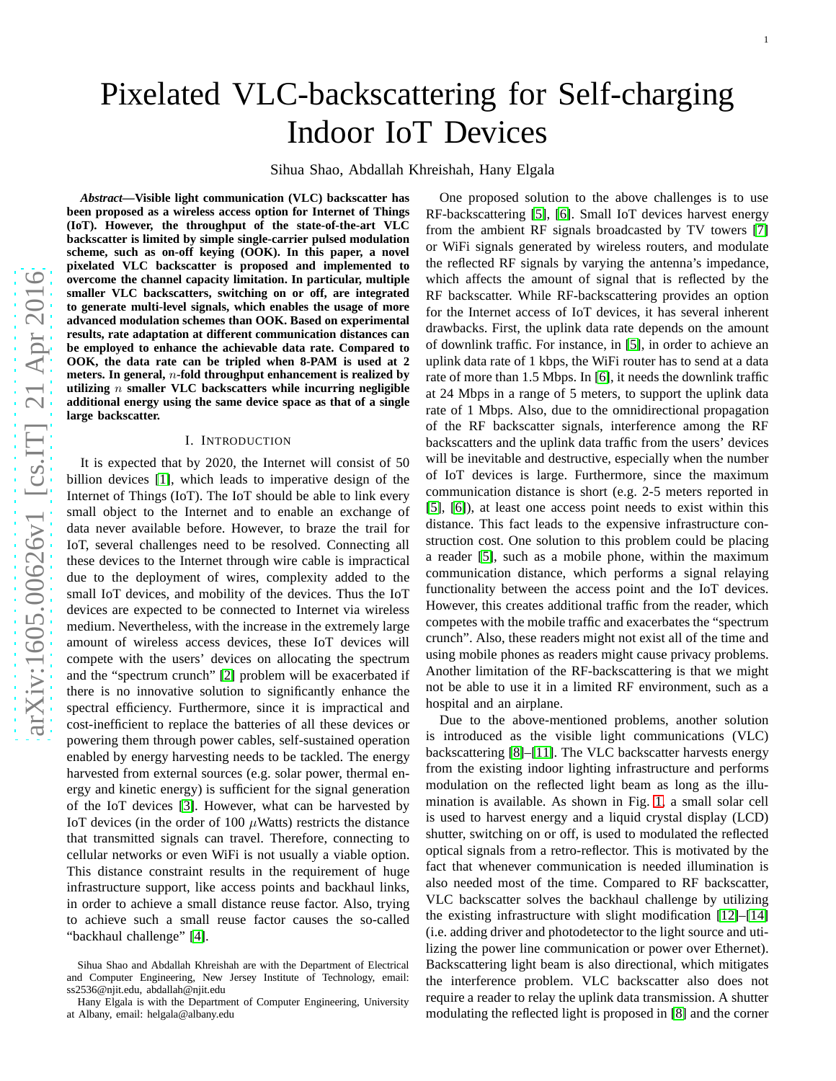# Pixelated VLC-backscattering for Self-charging Indoor IoT Devices

Sihua Shao, Abdallah Khreishah, Hany Elgala

*Abstract***—Visible light communication (VLC) backscatter has been proposed as a wireless access option for Internet of Things (IoT). However, the throughput of the state-of-the-art VLC backscatter is limited by simple single-carrier pulsed modulation scheme, such as on-off keying (OOK). In this paper, a novel pixelated VLC backscatter is proposed and implemented to overcome the channel capacity limitation. In particular, multiple smaller VLC backscatters, switching on or off, are integrated to generate multi-level signals, which enables the usage of more advanced modulation schemes than OOK. Based on experimenta l results, rate adaptation at different communication distances can be employed to enhance the achievable data rate. Compared to OOK, the data rate can be tripled when 8-PAM is used at 2 meters. In general,** n**-fold throughput enhancement is realized by utilizing** n **smaller VLC backscatters while incurring negligible additional energy using the same device space as that of a single large backscatter.**

#### I. INTRODUCTION

It is expected that by 2020, the Internet will consist of 50 billion devices [\[1\]](#page-3-0), which leads to imperative design of the Internet of Things (IoT). The IoT should be able to link every small object to the Internet and to enable an exchange of data never available before. However, to braze the trail for IoT, several challenges need to be resolved. Connecting all these devices to the Internet through wire cable is impractical due to the deployment of wires, complexity added to the small IoT devices, and mobility of the devices. Thus the IoT devices are expected to be connected to Internet via wireles s medium. Nevertheless, with the increase in the extremely large amount of wireless access devices, these IoT devices will compete with the users' devices on allocating the spectrum and the "spectrum crunch" [\[2\]](#page-3-1) problem will be exacerbated if there is no innovative solution to significantly enhance the spectral efficiency. Furthermore, since it is impractical and cost-inefficient to replace the batteries of all these devices or powering them through power cables, self-sustained operation enabled by energy harvesting needs to be tackled. The energy harvested from external sources (e.g. solar power, thermal energy and kinetic energy) is sufficient for the signal generation of the IoT devices [\[3\]](#page-3-2). However, what can be harvested by IoT devices (in the order of 100  $\mu$ Watts) restricts the distance that transmitted signals can travel. Therefore, connecting to cellular networks or even WiFi is not usually a viable option . This distance constraint results in the requirement of huge infrastructure support, like access points and backhaul links, in order to achieve a small distance reuse factor. Also, trying to achieve such a small reuse factor causes the so-called "backhaul challenge" [\[4\]](#page-3-3).

One proposed solution to the above challenges is to use RF-backscattering [\[5\]](#page-3-4), [\[6\]](#page-3-5). Small IoT devices harvest energy from the ambient RF signals broadcasted by TV towers [\[7\]](#page-3-6) or WiFi signals generated by wireless routers, and modulate the reflected RF signals by varying the antenna's impedance, which affects the amount of signal that is reflected by the RF backscatter. While RF-backscattering provides an optio n for the Internet access of IoT devices, it has several inherent drawbacks. First, the uplink data rate depends on the amount of downlink traffic. For instance, in [\[5\]](#page-3-4), in order to achieve an uplink data rate of 1 kbps, the WiFi router has to send at a data rate of more than 1.5 Mbps. In [\[6\]](#page-3-5), it needs the downlink traffi c at 24 Mbps in a range of 5 meters, to support the uplink data rate of 1 Mbps. Also, due to the omnidirectional propagation of the RF backscatter signals, interference among the RF backscatters and the uplink data traffic from the users' devices will be inevitable and destructive, especially when the number of IoT devices is large. Furthermore, since the maximum communication distance is short (e.g. 2-5 meters reported i n [\[5\]](#page-3-4), [\[6\]](#page-3-5)), at least one access point needs to exist within this distance. This fact leads to the expensive infrastructure construction cost. One solution to this problem could be placing a reader [\[5\]](#page-3-4), such as a mobile phone, within the maximum communication distance, which performs a signal relaying functionality between the access point and the IoT devices. However, this creates additional traffic from the reader, which competes with the mobile traffic and exacerbates the "spectrum crunch". Also, these readers might not exist all of the time and using mobile phones as readers might cause privacy problems . Another limitation of the RF-backscattering is that we migh t not be able to use it in a limited RF environment, such as a hospital and an airplane.

Due to the above-mentioned problems, another solution is introduced as the visible light communications (VLC) backscattering [\[8\]](#page-3-7)–[\[11\]](#page-3-8). The VLC backscatter harvests energy from the existing indoor lighting infrastructure and performs modulation on the reflected light beam as long as the illumination is available. As shown in Fig. [1,](#page-1-0) a small solar cell is used to harvest energy and a liquid crystal display (LCD) shutter, switching on or off, is used to modulated the reflected optical signals from a retro-reflector. This is motivated by the fact that whenever communication is needed illumination is also needed most of the time. Compared to RF backscatter, VLC backscatter solves the backhaul challenge by utilizing the existing infrastructure with slight modification [\[12\]](#page-3-9)–[\[14\]](#page-3-10) (i.e. adding driver and photodetector to the light source and utilizing the power line communication or power over Ethernet). Backscattering light beam is also directional, which mitigates the interference problem. VLC backscatter also does not require a reader to relay the uplink data transmission. A shutter modulating the reflected light is proposed in [\[8\]](#page-3-7) and the corner

Sihua Shao and Abdallah Khreishah are with the Department of Electrical and Computer Engineering, New Jersey Institute of Technology, email: ss2536@njit.edu, abdallah@njit.edu

Hany Elgala is with the Department of Computer Engineering, University at Albany, email: helgala@albany.edu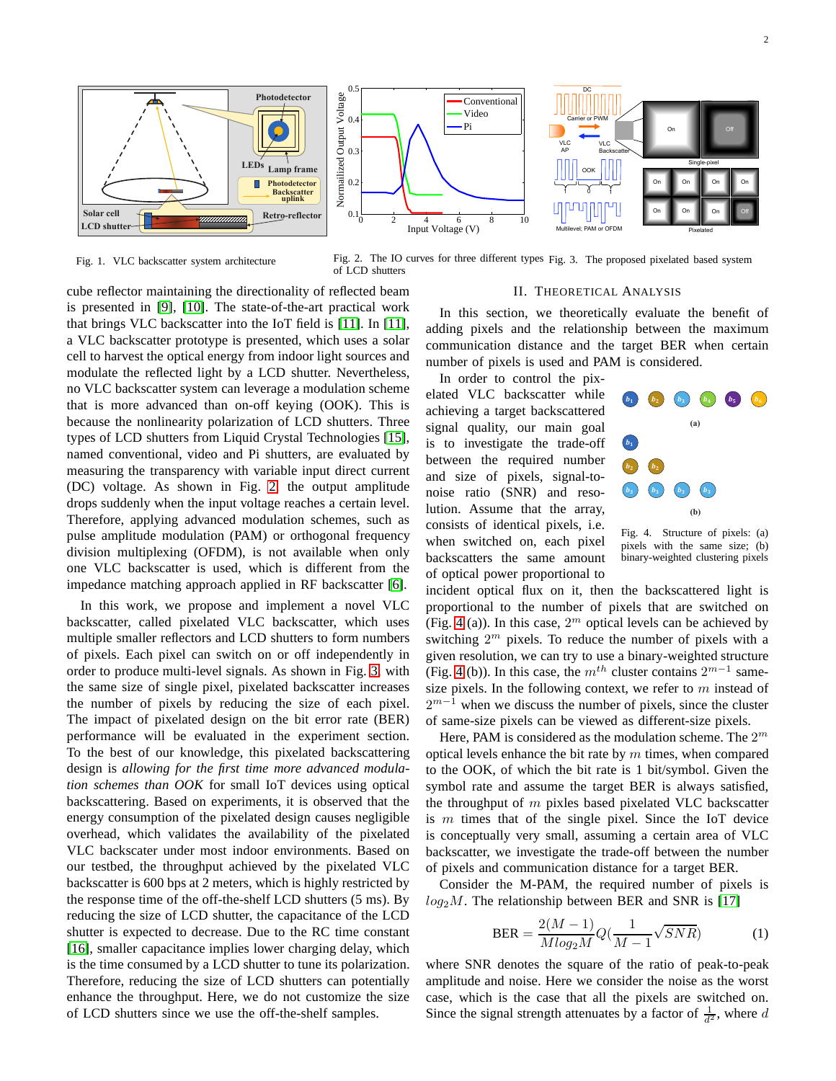

<span id="page-1-0"></span>Fig. 1. VLC backscatter system architecture

<span id="page-1-1"></span>Fig. 2. The IO curves for three different types Fig. 3. The proposed pixelated based system of LCD shutters

cube reflector maintaining the directionality of reflected beam is presented in [\[9\]](#page-3-11), [\[10\]](#page-3-12). The state-of-the-art practical work that brings VLC backscatter into the IoT field is [\[11\]](#page-3-8). In [\[11\]](#page-3-8), a VLC backscatter prototype is presented, which uses a solar cell to harvest the optical energy from indoor light sources and modulate the reflected light by a LCD shutter. Nevertheless, no VLC backscatter system can leverage a modulation scheme that is more advanced than on-off keying (OOK). This is because the nonlinearity polarization of LCD shutters. Three types of LCD shutters from Liquid Crystal Technologies [\[15\]](#page-3-13), named conventional, video and Pi shutters, are evaluated by measuring the transparency with variable input direct current (DC) voltage. As shown in Fig. [2,](#page-1-1) the output amplitude drops suddenly when the input voltage reaches a certain level. Therefore, applying advanced modulation schemes, such as pulse amplitude modulation (PAM) or orthogonal frequency division multiplexing (OFDM), is not available when only one VLC backscatter is used, which is different from the impedance matching approach applied in RF backscatter [\[6\]](#page-3-5).

In this work, we propose and implement a novel VLC backscatter, called pixelated VLC backscatter, which uses multiple smaller reflectors and LCD shutters to form numbers of pixels. Each pixel can switch on or off independently in order to produce multi-level signals. As shown in Fig. [3,](#page-1-2) with the same size of single pixel, pixelated backscatter increases the number of pixels by reducing the size of each pixel. The impact of pixelated design on the bit error rate (BER) performance will be evaluated in the experiment section. To the best of our knowledge, this pixelated backscattering design is *allowing for the first time more advanced modulation schemes than OOK* for small IoT devices using optical backscattering. Based on experiments, it is observed that the energy consumption of the pixelated design causes negligible overhead, which validates the availability of the pixelated VLC backscater under most indoor environments. Based on our testbed, the throughput achieved by the pixelated VLC backscatter is 600 bps at 2 meters, which is highly restricted by the response time of the off-the-shelf LCD shutters (5 ms). By reducing the size of LCD shutter, the capacitance of the LCD shutter is expected to decrease. Due to the RC time constant [\[16\]](#page-3-14), smaller capacitance implies lower charging delay, which is the time consumed by a LCD shutter to tune its polarization. Therefore, reducing the size of LCD shutters can potentially enhance the throughput. Here, we do not customize the size of LCD shutters since we use the off-the-shelf samples.

## <span id="page-1-2"></span>II. THEORETICAL ANALYSIS

<span id="page-1-4"></span>In this section, we theoretically evaluate the benefit of adding pixels and the relationship between the maximum communication distance and the target BER when certain number of pixels is used and PAM is considered.

In order to control the pix-

elated VLC backscatter while achieving a target backscattered signal quality, our main goal is to investigate the trade-off between the required number and size of pixels, signal-tonoise ratio (SNR) and resolution. Assume that the array, consists of identical pixels, i.e. when switched on, each pixel backscatters the same amount of optical power proportional to



<span id="page-1-3"></span>Fig. 4. Structure of pixels: (a) pixels with the same size; (b) binary-weighted clustering pixels

incident optical flux on it, then the backscattered light is proportional to the number of pixels that are switched on (Fig. [4](#page-1-3) (a)). In this case,  $2^m$  optical levels can be achieved by switching  $2^m$  pixels. To reduce the number of pixels with a given resolution, we can try to use a binary-weighted structure (Fig. [4](#page-1-3) (b)). In this case, the  $m^{th}$  cluster contains  $2^{m-1}$  samesize pixels. In the following context, we refer to  $m$  instead of  $2^{m-1}$  when we discuss the number of pixels, since the cluster of same-size pixels can be viewed as different-size pixels.

Here, PAM is considered as the modulation scheme. The  $2^m$ optical levels enhance the bit rate by  $m$  times, when compared to the OOK, of which the bit rate is 1 bit/symbol. Given the symbol rate and assume the target BER is always satisfied, the throughput of  $m$  pixles based pixelated VLC backscatter is  $m$  times that of the single pixel. Since the IoT device is conceptually very small, assuming a certain area of VLC backscatter, we investigate the trade-off between the number of pixels and communication distance for a target BER.

Consider the M-PAM, the required number of pixels is  $log_2 M$ . The relationship between BER and SNR is [\[17\]](#page-3-15)

$$
BER = \frac{2(M-1)}{M \log_2 M} Q(\frac{1}{M-1} \sqrt{SNR})
$$
 (1)

where SNR denotes the square of the ratio of peak-to-peak amplitude and noise. Here we consider the noise as the worst case, which is the case that all the pixels are switched on. Since the signal strength attenuates by a factor of  $\frac{1}{d^2}$ , where d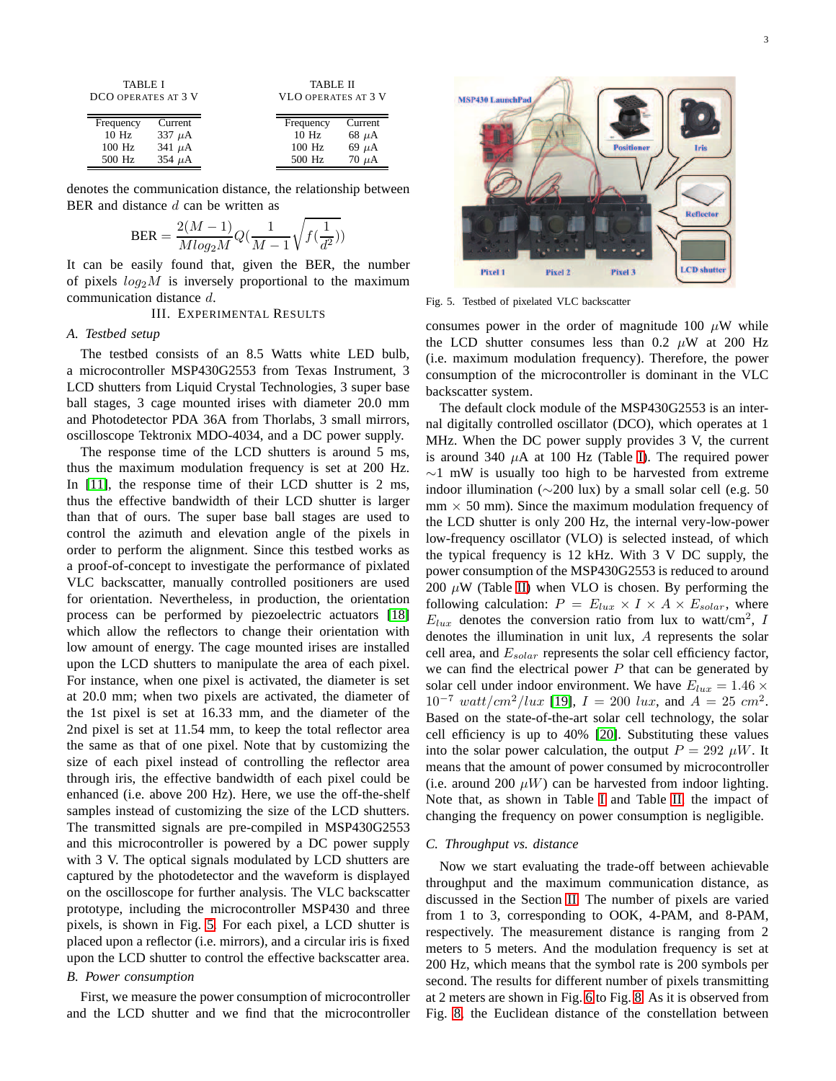<span id="page-2-1"></span>

| <b>TABLE I</b><br>DCO OPERATES AT 3 V |             |           | <b>TABLE II</b><br><b>VLO OPERATES AT 3 V</b> |  |  |
|---------------------------------------|-------------|-----------|-----------------------------------------------|--|--|
| Frequency                             | Current     | Frequency | Current                                       |  |  |
| $10$ Hz                               | 337 $\mu$ A | 10Hz      | $68 \mu A$                                    |  |  |
| $100$ Hz                              | 341 $\mu$ A | 100 Hz    | $69 \mu A$                                    |  |  |

<span id="page-2-2"></span>500 Hz  $\frac{70 \mu A}{ }$ 

denotes the communication distance, the relationship between BER and distance  $d$  can be written as

$$
\text{BER} = \frac{2(M-1)}{M \log_2 M} Q(\frac{1}{M-1} \sqrt{f(\frac{1}{d^2})})
$$

It can be easily found that, given the BER, the number of pixels  $log_2 M$  is inversely proportional to the maximum communication distance d.

III. EXPERIMENTAL RESULTS

#### *A. Testbed setup*

500 Hz  $354 \mu A$ 

The testbed consists of an 8.5 Watts white LED bulb, a microcontroller MSP430G2553 from Texas Instrument, 3 LCD shutters from Liquid Crystal Technologies, 3 super base ball stages, 3 cage mounted irises with diameter 20.0 mm and Photodetector PDA 36A from Thorlabs, 3 small mirrors, oscilloscope Tektronix MDO-4034, and a DC power supply.

The response time of the LCD shutters is around 5 ms, thus the maximum modulation frequency is set at 200 Hz. In [\[11\]](#page-3-8), the response time of their LCD shutter is 2 ms, thus the effective bandwidth of their LCD shutter is larger than that of ours. The super base ball stages are used to control the azimuth and elevation angle of the pixels in order to perform the alignment. Since this testbed works as a proof-of-concept to investigate the performance of pixlated VLC backscatter, manually controlled positioners are used for orientation. Nevertheless, in production, the orientation process can be performed by piezoelectric actuators [\[18\]](#page-3-16) which allow the reflectors to change their orientation with low amount of energy. The cage mounted irises are installed upon the LCD shutters to manipulate the area of each pixel. For instance, when one pixel is activated, the diameter is set at 20.0 mm; when two pixels are activated, the diameter of the 1st pixel is set at 16.33 mm, and the diameter of the 2nd pixel is set at 11.54 mm, to keep the total reflector area the same as that of one pixel. Note that by customizing the size of each pixel instead of controlling the reflector area through iris, the effective bandwidth of each pixel could be enhanced (i.e. above 200 Hz). Here, we use the off-the-shelf samples instead of customizing the size of the LCD shutters. The transmitted signals are pre-compiled in MSP430G2553 and this microcontroller is powered by a DC power supply with 3 V. The optical signals modulated by LCD shutters are captured by the photodetector and the waveform is displayed on the oscilloscope for further analysis. The VLC backscatter prototype, including the microcontroller MSP430 and three pixels, is shown in Fig. [5.](#page-2-0) For each pixel, a LCD shutter is placed upon a reflector (i.e. mirrors), and a circular iris is fixed upon the LCD shutter to control the effective backscatter area.

### *B. Power consumption*

First, we measure the power consumption of microcontroller and the LCD shutter and we find that the microcontroller



Fig. 5. Testbed of pixelated VLC backscatter

<span id="page-2-0"></span>consumes power in the order of magnitude 100  $\mu$ W while the LCD shutter consumes less than 0.2  $\mu$ W at 200 Hz (i.e. maximum modulation frequency). Therefore, the power consumption of the microcontroller is dominant in the VLC backscatter system.

The default clock module of the MSP430G2553 is an internal digitally controlled oscillator (DCO), which operates at 1 MHz. When the DC power supply provides 3 V, the current is around 340  $\mu$ A at 100 Hz (Table [I\)](#page-2-1). The required power  $\sim$ 1 mW is usually too high to be harvested from extreme indoor illumination ( $\sim$ 200 lux) by a small solar cell (e.g. 50  $mm \times 50$  mm). Since the maximum modulation frequency of the LCD shutter is only 200 Hz, the internal very-low-power low-frequency oscillator (VLO) is selected instead, of which the typical frequency is 12 kHz. With 3 V DC supply, the power consumption of the MSP430G2553 is reduced to around 200  $\mu$ W (Table [II\)](#page-2-2) when VLO is chosen. By performing the following calculation:  $P = E_{lux} \times I \times A \times E_{solar}$ , where  $E_{lux}$  denotes the conversion ratio from lux to watt/cm<sup>2</sup>, I denotes the illumination in unit lux, A represents the solar cell area, and  $E_{solar}$  represents the solar cell efficiency factor, we can find the electrical power  $P$  that can be generated by solar cell under indoor environment. We have  $E_{lux} = 1.46 \times$  $10^{-7}$  watt/cm<sup>2</sup>/lux [\[19\]](#page-3-17),  $I = 200$  lux, and  $A = 25$  cm<sup>2</sup>. Based on the state-of-the-art solar cell technology, the solar cell efficiency is up to 40% [\[20\]](#page-4-0). Substituting these values into the solar power calculation, the output  $P = 292 \mu W$ . It means that the amount of power consumed by microcontroller (i.e. around 200  $\mu$ W) can be harvested from indoor lighting. Note that, as shown in Table [I](#page-2-1) and Table [II,](#page-2-2) the impact of changing the frequency on power consumption is negligible.

#### *C. Throughput vs. distance*

Now we start evaluating the trade-off between achievable throughput and the maximum communication distance, as discussed in the Section [II.](#page-1-4) The number of pixels are varied from 1 to 3, corresponding to OOK, 4-PAM, and 8-PAM, respectively. The measurement distance is ranging from 2 meters to 5 meters. And the modulation frequency is set at 200 Hz, which means that the symbol rate is 200 symbols per second. The results for different number of pixels transmitting at 2 meters are shown in Fig. [6](#page-3-18) to Fig. [8.](#page-3-19) As it is observed from Fig. [8,](#page-3-19) the Euclidean distance of the constellation between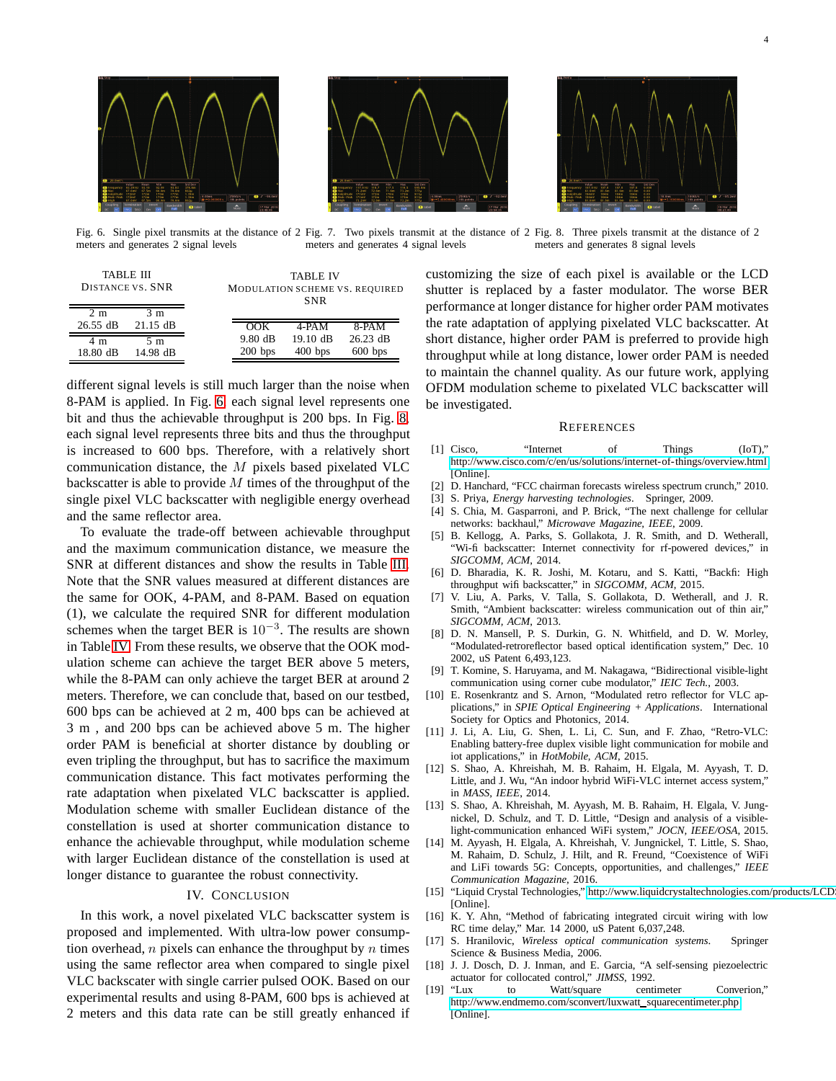



<span id="page-3-18"></span>Fig. 6. Single pixel transmits at the distance of 2 Fig. 7. Two pixels transmit at the distance of 2 Fig. 8. Three pixels transmit at the distance of 2 meters and generates 2 signal levels meters and generates 4 signal levels meters and generates 8 signal levels

<span id="page-3-21"></span><span id="page-3-20"></span>

| TABLE III<br><b>DISTANCE VS. SNR</b> |                   | <b>TABLE IV</b><br>MODULATION SCHEME VS. REQUIRED<br><b>SNR</b> |                                 |                                 |
|--------------------------------------|-------------------|-----------------------------------------------------------------|---------------------------------|---------------------------------|
| 2 <sub>m</sub><br>$26.55$ dB         | 3 m<br>$21.15$ dB | OOK                                                             | 4-PAM                           | $8-PAM$                         |
| 4 m<br>18.80 dB                      | 5 m<br>14.98 dB   | $9.80 \text{ dB}$<br>$200$ bps                                  | $19.10 \text{ dB}$<br>$400$ bps | $26.23 \text{ dB}$<br>$600$ bps |

different signal levels is still much larger than the noise when 8-PAM is applied. In Fig. [6,](#page-3-18) each signal level represents one bit and thus the achievable throughput is 200 bps. In Fig. [8,](#page-3-19) each signal level represents three bits and thus the throughput is increased to 600 bps. Therefore, with a relatively short communication distance, the M pixels based pixelated VLC backscatter is able to provide  $M$  times of the throughput of the single pixel VLC backscatter with negligible energy overhead and the same reflector area.

To evaluate the trade-off between achievable throughput and the maximum communication distance, we measure the SNR at different distances and show the results in Table [III.](#page-3-20) Note that the SNR values measured at different distances are the same for OOK, 4-PAM, and 8-PAM. Based on equation (1), we calculate the required SNR for different modulation schemes when the target BER is  $10^{-3}$ . The results are shown in Table [IV.](#page-3-21) From these results, we observe that the OOK modulation scheme can achieve the target BER above 5 meters, while the 8-PAM can only achieve the target BER at around 2 meters. Therefore, we can conclude that, based on our testbed, 600 bps can be achieved at 2 m, 400 bps can be achieved at 3 m , and 200 bps can be achieved above 5 m. The higher order PAM is beneficial at shorter distance by doubling or even tripling the throughput, but has to sacrifice the maximum communication distance. This fact motivates performing the rate adaptation when pixelated VLC backscatter is applied. Modulation scheme with smaller Euclidean distance of the constellation is used at shorter communication distance to enhance the achievable throughput, while modulation scheme with larger Euclidean distance of the constellation is used at longer distance to guarantee the robust connectivity.

# IV. CONCLUSION

In this work, a novel pixelated VLC backscatter system is proposed and implemented. With ultra-low power consumption overhead,  $n$  pixels can enhance the throughput by  $n$  times using the same reflector area when compared to single pixel VLC backscater with single carrier pulsed OOK. Based on our experimental results and using 8-PAM, 600 bps is achieved at 2 meters and this data rate can be still greatly enhanced if <span id="page-3-19"></span>customizing the size of each pixel is available or the LCD shutter is replaced by a faster modulator. The worse BER performance at longer distance for higher order PAM motivates the rate adaptation of applying pixelated VLC backscatter. At short distance, higher order PAM is preferred to provide high throughput while at long distance, lower order PAM is needed to maintain the channel quality. As our future work, applying OFDM modulation scheme to pixelated VLC backscatter will be investigated.

#### **REFERENCES**

- <span id="page-3-0"></span>[1] Cisco, "Internet of Things (IoT)," [http://www.cisco.com/c/en/us/solutions/internet-of-things/overview.html,](http://www.cisco.com/c/en/us/solutions/internet-of-things/overview.html) [Online].
- <span id="page-3-2"></span><span id="page-3-1"></span>[2] D. Hanchard, "FCC chairman forecasts wireless spectrum crunch," 2010.
- <span id="page-3-3"></span>[3] S. Priya, *Energy harvesting technologies*. Springer, 2009.
- [4] S. Chia, M. Gasparroni, and P. Brick, "The next challenge for cellular networks: backhaul," *Microwave Magazine, IEEE*, 2009.
- <span id="page-3-4"></span>[5] B. Kellogg, A. Parks, S. Gollakota, J. R. Smith, and D. Wetherall, "Wi-fi backscatter: Internet connectivity for rf-powered devices," in *SIGCOMM, ACM*, 2014.
- <span id="page-3-5"></span>[6] D. Bharadia, K. R. Joshi, M. Kotaru, and S. Katti, "Backfi: High throughput wifi backscatter," in *SIGCOMM, ACM*, 2015.
- <span id="page-3-6"></span>[7] V. Liu, A. Parks, V. Talla, S. Gollakota, D. Wetherall, and J. R. Smith, "Ambient backscatter: wireless communication out of thin air," *SIGCOMM, ACM*, 2013.
- <span id="page-3-7"></span>[8] D. N. Mansell, P. S. Durkin, G. N. Whitfield, and D. W. Morley, "Modulated-retroreflector based optical identification system," Dec. 10 2002, uS Patent 6,493,123.
- <span id="page-3-11"></span>[9] T. Komine, S. Haruyama, and M. Nakagawa, "Bidirectional visible-light communication using corner cube modulator," *IEIC Tech.*, 2003.
- <span id="page-3-12"></span>[10] E. Rosenkrantz and S. Arnon, "Modulated retro reflector for VLC applications," in *SPIE Optical Engineering + Applications*. International Society for Optics and Photonics, 2014.
- <span id="page-3-8"></span>[11] J. Li, A. Liu, G. Shen, L. Li, C. Sun, and F. Zhao, "Retro-VLC: Enabling battery-free duplex visible light communication for mobile and iot applications," in *HotMobile, ACM*, 2015.
- <span id="page-3-9"></span>[12] S. Shao, A. Khreishah, M. B. Rahaim, H. Elgala, M. Ayyash, T. D. Little, and J. Wu, "An indoor hybrid WiFi-VLC internet access system," in *MASS, IEEE*, 2014.
- [13] S. Shao, A. Khreishah, M. Ayyash, M. B. Rahaim, H. Elgala, V. Jungnickel, D. Schulz, and T. D. Little, "Design and analysis of a visiblelight-communication enhanced WiFi system," *JOCN, IEEE/OSA*, 2015.
- <span id="page-3-10"></span>[14] M. Ayyash, H. Elgala, A. Khreishah, V. Jungnickel, T. Little, S. Shao, M. Rahaim, D. Schulz, J. Hilt, and R. Freund, "Coexistence of WiFi and LiFi towards 5G: Concepts, opportunities, and challenges," *IEEE Communication Magazine*, 2016.
- <span id="page-3-13"></span>[15] "Liquid Crystal Technologies," http://www.liquidcrystaltechnologies.com/products/LCD [Online].
- <span id="page-3-14"></span>[16] K. Y. Ahn, "Method of fabricating integrated circuit wiring with low RC time delay," Mar. 14 2000, uS Patent 6,037,248.
- <span id="page-3-15"></span>[17] S. Hranilovic, *Wireless optical communication systems*. Springer Science & Business Media, 2006.
- <span id="page-3-16"></span>[18] J. J. Dosch, D. J. Inman, and E. Garcia, "A self-sensing piezoelectric actuator for collocated control," *JIMSS*, 1992.
- <span id="page-3-17"></span>"Lux to Watt/square centimeter Converion," [http://www.endmemo.com/sconvert/luxwatt](http://www.endmemo.com/sconvert/luxwatt_squarecentimeter.php)\_squarecentimeter.php, [Online].